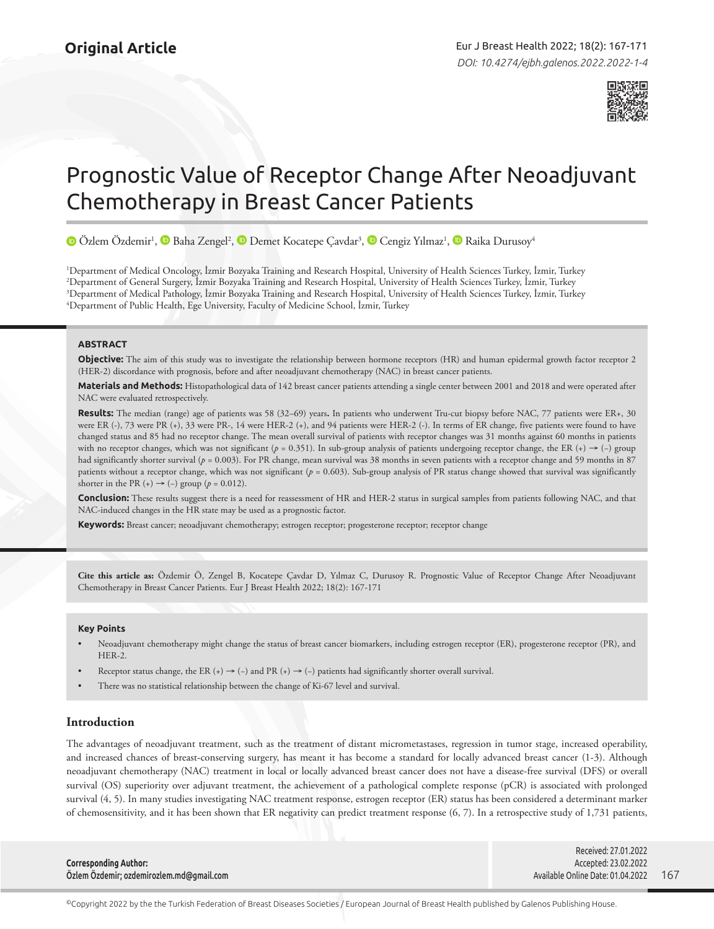

# Prognostic Value of Receptor Change After Neoadjuvant Chemotherapy in Breast Cancer Patients

ÖzlemÖzdemir<sup>ı</sup>, <mark>●</mark> [B](https://orcid.org/0000-0002-1812-6846)aha Zengel<sup>2</sup>, <mark>●</mark> [D](https://orcid.org/0000-0003-3718-8900)emet Kocatepe Çavdar<sup>3</sup>, ● Cengiz Yılmaz<sup>ı</sup>, ● Raika Durusoy<sup>4</sup>

 Department of Medical Oncology, İzmir Bozyaka Training and Research Hospital, University of Health Sciences Turkey, İzmir, Turkey Department of General Surgery, İzmir Bozyaka Training and Research Hospital, University of Health Sciences Turkey, İzmir, Turkey Department of Medical Pathology, İzmir Bozyaka Training and Research Hospital, University of Health Sciences Turkey, İzmir, Turkey Department of Public Health, Ege University, Faculty of Medicine School, İzmir, Turkey

## **ABSTRACT**

**Objective:** The aim of this study was to investigate the relationship between hormone receptors (HR) and human epidermal growth factor receptor 2 (HER-2) discordance with prognosis, before and after neoadjuvant chemotherapy (NAC) in breast cancer patients.

**Materials and Methods:** Histopathological data of 142 breast cancer patients attending a single center between 2001 and 2018 and were operated after NAC were evaluated retrospectively.

**Results:** The median (range) age of patients was 58 (32–69) years**.** In patients who underwent Tru-cut biopsy before NAC, 77 patients were ER+, 30 were ER (-), 73 were PR (+), 33 were PR-, 14 were HER-2 (+), and 94 patients were HER-2 (-). In terms of ER change, five patients were found to have changed status and 85 had no receptor change. The mean overall survival of patients with receptor changes was 31 months against 60 months in patients with no receptor changes, which was not significant (*p* = 0.351). In sub-group analysis of patients undergoing receptor change, the ER (+) → (−) group had significantly shorter survival ( $p = 0.003$ ). For PR change, mean survival was 38 months in seven patients with a receptor change and 59 months in 87 patients without a receptor change, which was not significant (*p* = 0.603). Sub-group analysis of PR status change showed that survival was significantly shorter in the PR  $(+) \rightarrow (-)$  group  $(p = 0.012)$ .

**Conclusion:** These results suggest there is a need for reassessment of HR and HER-2 status in surgical samples from patients following NAC, and that NAC-induced changes in the HR state may be used as a prognostic factor.

**Keywords:** Breast cancer; neoadjuvant chemotherapy; estrogen receptor; progesterone receptor; receptor change

**Cite this article as:** Özdemir Ö, Zengel B, Kocatepe Çavdar D, Yılmaz C, Durusoy R. Prognostic Value of Receptor Change After Neoadjuvant Chemotherapy in Breast Cancer Patients. Eur J Breast Health 2022; 18(2): 167-171

#### **Key Points**

- Neoadjuvant chemotherapy might change the status of breast cancer biomarkers, including estrogen receptor (ER), progesterone receptor (PR), and HER-2.
- Receptor status change, the ER (+)  $\rightarrow$  (-) and PR (+)  $\rightarrow$  (-) patients had significantly shorter overall survival.
- There was no statistical relationship between the change of Ki-67 level and survival.

## **Introduction**

The advantages of neoadjuvant treatment, such as the treatment of distant micrometastases, regression in tumor stage, increased operability, and increased chances of breast-conserving surgery, has meant it has become a standard for locally advanced breast cancer (1-3). Although neoadjuvant chemotherapy (NAC) treatment in local or locally advanced breast cancer does not have a disease-free survival (DFS) or overall survival (OS) superiority over adjuvant treatment, the achievement of a pathological complete response (pCR) is associated with prolonged survival (4, 5). In many studies investigating NAC treatment response, estrogen receptor (ER) status has been considered a determinant marker of chemosensitivity, and it has been shown that ER negativity can predict treatment response (6, 7). In a retrospective study of 1,731 patients,

|                                          | Received: 27.01.2022              |       |
|------------------------------------------|-----------------------------------|-------|
| <b>Corresponding Author:</b>             | Accepted: 23.02.2022              |       |
| Özlem Özdemir; ozdemirozlem.md@gmail.com | Available Online Date: 01.04.2022 | - 167 |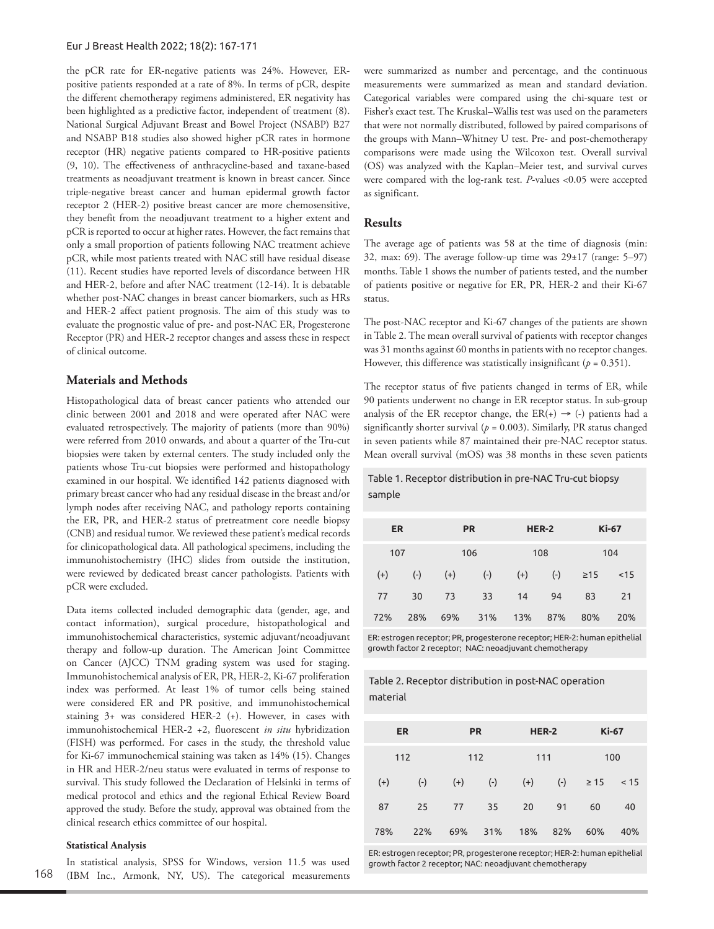## Eur J Breast Health 2022; 18(2): 167-171

the pCR rate for ER-negative patients was 24%. However, ERpositive patients responded at a rate of 8%. In terms of pCR, despite the different chemotherapy regimens administered, ER negativity has been highlighted as a predictive factor, independent of treatment (8). National Surgical Adjuvant Breast and Bowel Project (NSABP) B27 and NSABP B18 studies also showed higher pCR rates in hormone receptor (HR) negative patients compared to HR-positive patients (9, 10). The effectiveness of anthracycline-based and taxane-based treatments as neoadjuvant treatment is known in breast cancer. Since triple-negative breast cancer and human epidermal growth factor receptor 2 (HER-2) positive breast cancer are more chemosensitive, they benefit from the neoadjuvant treatment to a higher extent and pCR is reported to occur at higher rates. However, the fact remains that only a small proportion of patients following NAC treatment achieve pCR, while most patients treated with NAC still have residual disease (11). Recent studies have reported levels of discordance between HR and HER-2, before and after NAC treatment (12-14). It is debatable whether post-NAC changes in breast cancer biomarkers, such as HRs and HER-2 affect patient prognosis. The aim of this study was to evaluate the prognostic value of pre- and post-NAC ER, Progesterone Receptor (PR) and HER-2 receptor changes and assess these in respect of clinical outcome.

## **Materials and Methods**

Histopathological data of breast cancer patients who attended our clinic between 2001 and 2018 and were operated after NAC were evaluated retrospectively. The majority of patients (more than 90%) were referred from 2010 onwards, and about a quarter of the Tru-cut biopsies were taken by external centers. The study included only the patients whose Tru-cut biopsies were performed and histopathology examined in our hospital. We identified 142 patients diagnosed with primary breast cancer who had any residual disease in the breast and/or lymph nodes after receiving NAC, and pathology reports containing the ER, PR, and HER-2 status of pretreatment core needle biopsy (CNB) and residual tumor. We reviewed these patient's medical records for clinicopathological data. All pathological specimens, including the immunohistochemistry (IHC) slides from outside the institution, were reviewed by dedicated breast cancer pathologists. Patients with pCR were excluded.

Data items collected included demographic data (gender, age, and contact information), surgical procedure, histopathological and immunohistochemical characteristics, systemic adjuvant/neoadjuvant therapy and follow-up duration. The American Joint Committee on Cancer (AJCC) TNM grading system was used for staging. Immunohistochemical analysis of ER, PR, HER-2, Ki-67 proliferation index was performed. At least 1% of tumor cells being stained were considered ER and PR positive, and immunohistochemical staining 3+ was considered HER-2 (+). However, in cases with immunohistochemical HER-2 +2, fluorescent *in situ* hybridization (FISH) was performed. For cases in the study, the threshold value for Ki-67 immunochemical staining was taken as 14% (15). Changes in HR and HER-2/neu status were evaluated in terms of response to survival. This study followed the Declaration of Helsinki in terms of medical protocol and ethics and the regional Ethical Review Board approved the study. Before the study, approval was obtained from the clinical research ethics committee of our hospital.

## **Statistical Analysis**

In statistical analysis, SPSS for Windows, version 11.5 was used (IBM Inc., Armonk, NY, US). The categorical measurements were summarized as number and percentage, and the continuous measurements were summarized as mean and standard deviation. Categorical variables were compared using the chi-square test or Fisher's exact test. The Kruskal–Wallis test was used on the parameters that were not normally distributed, followed by paired comparisons of the groups with Mann–Whitney U test. Pre- and post-chemotherapy comparisons were made using the Wilcoxon test. Overall survival (OS) was analyzed with the Kaplan–Meier test, and survival curves were compared with the log-rank test. *P*-values <0.05 were accepted as significant.

## **Results**

The average age of patients was 58 at the time of diagnosis (min: 32, max: 69). The average follow-up time was  $29\pm 17$  (range: 5–97) months. Table 1 shows the number of patients tested, and the number of patients positive or negative for ER, PR, HER-2 and their Ki-67 status.

The post-NAC receptor and Ki-67 changes of the patients are shown in Table 2. The mean overall survival of patients with receptor changes was 31 months against 60 months in patients with no receptor changes. However, this difference was statistically insignificant ( $p = 0.351$ ).

The receptor status of five patients changed in terms of ER, while 90 patients underwent no change in ER receptor status. In sub-group analysis of the ER receptor change, the  $ER(+) \rightarrow (-)$  patients had a significantly shorter survival ( $p = 0.003$ ). Similarly, PR status changed in seven patients while 87 maintained their pre-NAC receptor status. Mean overall survival (mOS) was 38 months in these seven patients

Table 1. Receptor distribution in pre-NAC Tru-cut biopsy sample

| <b>ER</b><br><b>PR</b> |       |       |       | HER-2 | <b>Ki-67</b> |           |      |  |
|------------------------|-------|-------|-------|-------|--------------|-----------|------|--|
| 107                    |       |       | 106   |       | 108          |           | 104  |  |
| $(+)$                  | $(-)$ | $(+)$ | $(-)$ | $(+)$ | $(-)$        | $\geq$ 15 | < 15 |  |
| 77                     | 30    | 73    | 33    | 14    | 94           | 83        | 21   |  |
| 72%                    | 28%   | 69%   | 31%   | 13%   | 87%          | 80%       | 20%  |  |

ER: estrogen receptor; PR, progesterone receptor; HER-2: human epithelial growth factor 2 receptor; NAC: neoadjuvant chemotherapy

# Table 2. Receptor distribution in post-NAC operation material

| <b>ER</b> |       | <b>PR</b> | HER-2     |       | <b>Ki-67</b> |           |      |
|-----------|-------|-----------|-----------|-------|--------------|-----------|------|
| 112       |       | 112       |           | 111   |              | 100       |      |
| $(+)$     | $(-)$ | $(+)$     | $(\cdot)$ | $(+)$ | $(-)$        | $\geq$ 15 | < 15 |
| 87        | 25    | 77        | 35        | 20    | 91           | 60        | 40   |
| 78%       | 22%   | 69%       | 31%       | 18%   | 82%          | 60%       | 40%  |

ER: estrogen receptor; PR, progesterone receptor; HER-2: human epithelial growth factor 2 receptor; NAC: neoadjuvant chemotherapy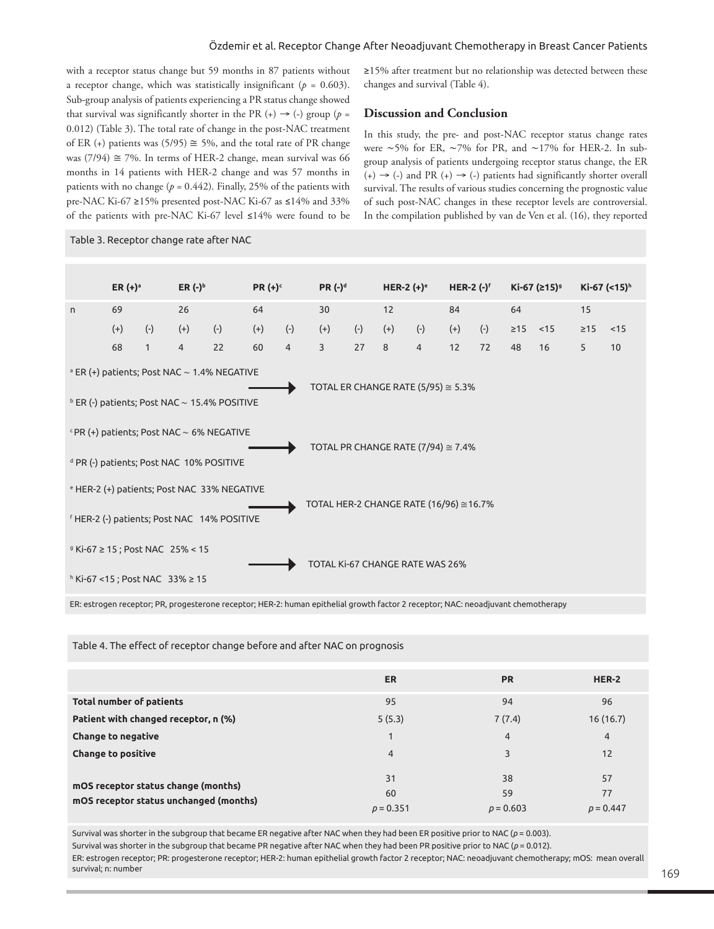## Özdemir et al. Receptor Change After Neoadjuvant Chemotherapy in Breast Cancer Patients

with a receptor status change but 59 months in 87 patients without a receptor change, which was statistically insignificant ( $p = 0.603$ ). Sub-group analysis of patients experiencing a PR status change showed that survival was significantly shorter in the PR  $(+) \rightarrow (-)$  group  $(p =$ 0.012) (Table 3). The total rate of change in the post-NAC treatment of ER (+) patients was (5/95)  $\cong$  5%, and the total rate of PR change was (7/94)  $\approx$  7%. In terms of HER-2 change, mean survival was 66 months in 14 patients with HER-2 change and was 57 months in patients with no change ( $p = 0.442$ ). Finally, 25% of the patients with pre-NAC Ki-67 **≥**15% presented post-NAC Ki-67 as **≤**14% and 33% of the patients with pre-NAC Ki-67 level **≤**14% were found to be

Table 3. Receptor change rate after NAC

**≥**15% after treatment but no relationship was detected between these changes and survival (Table 4).

## **Discussion and Conclusion**

In this study, the pre- and post-NAC receptor status change rates were ∼5% for ER, ∼7% for PR, and ∼17% for HER-2. In subgroup analysis of patients undergoing receptor status change, the ER  $(+) \rightarrow (-)$  and PR  $(+) \rightarrow (-)$  patients had significantly shorter overall survival. The results of various studies concerning the prognostic value of such post-NAC changes in these receptor levels are controversial. In the compilation published by van de Ven et al. (16), they reported

|                                                                                                                                                                | ER $(+)$ <sup>a</sup> |              | ER $(-)^b$     |       | $PR (+)^c$ |                | $PR(-)^d$                       |       | HER-2 $(+)$ <sup>e</sup> |                | <b>HER-2 <math>(-)</math></b> <sup><math>f</math></sup> |       | Ki-67 (≥15) <sup>9</sup> |    | Ki-67 (<15) <sup>h</sup> |      |
|----------------------------------------------------------------------------------------------------------------------------------------------------------------|-----------------------|--------------|----------------|-------|------------|----------------|---------------------------------|-------|--------------------------|----------------|---------------------------------------------------------|-------|--------------------------|----|--------------------------|------|
| n.                                                                                                                                                             | 69                    |              | 26             |       | 64         |                | 30                              |       | 12                       |                | 84                                                      |       | 64                       |    | 15                       |      |
|                                                                                                                                                                | $(+)$                 | $(-)$        | $(+)$          | $(-)$ | $(+)$      | $(-)$          | $(+)$                           | $(-)$ | $(+)$                    | $(\cdot)$      | $(+)$                                                   | $(-)$ | $\ge 15$ < 15            |    | $\geq 15$                | < 15 |
|                                                                                                                                                                | 68                    | $\mathbf{1}$ | $\overline{4}$ | 22    | 60         | $\overline{4}$ | $\overline{3}$                  | 27    | 8                        | $\overline{4}$ | 12                                                      | 72    | 48                       | 16 | 5                        | 10   |
| $^{\circ}$ ER (+) patients; Post NAC $\sim$ 1.4% NEGATIVE<br>TOTAL ER CHANGE RATE (5/95) $\approx$ 5.3%<br>$b$ ER (-) patients; Post NAC $\sim$ 15.4% POSITIVE |                       |              |                |       |            |                |                                 |       |                          |                |                                                         |       |                          |    |                          |      |
| $P(R (+)$ patients; Post NAC $\sim$ 6% NEGATIVE<br>TOTAL PR CHANGE RATE $(7/94) \approx 7.4\%$<br><sup>d</sup> PR (-) patients; Post NAC 10% POSITIVE          |                       |              |                |       |            |                |                                 |       |                          |                |                                                         |       |                          |    |                          |      |
| e HER-2 (+) patients; Post NAC 33% NEGATIVE<br>TOTAL HER-2 CHANGE RATE (16/96) ≅16.7%<br><sup>f</sup> HER-2 (-) patients; Post NAC 14% POSITIVE                |                       |              |                |       |            |                |                                 |       |                          |                |                                                         |       |                          |    |                          |      |
| <sup>9</sup> Ki-67 ≥ 15 ; Post NAC 25% < 15<br>h Ki-67 <15 ; Post NAC 33% ≥ 15                                                                                 |                       |              |                |       |            |                | TOTAL Ki-67 CHANGE RATE WAS 26% |       |                          |                |                                                         |       |                          |    |                          |      |

ER: estrogen receptor; PR, progesterone receptor; HER-2: human epithelial growth factor 2 receptor; NAC: neoadjuvant chemotherapy

Table 4. The effect of receptor change before and after NAC on prognosis

|                                        | <b>ER</b>      | <b>PR</b>      | HER-2          |
|----------------------------------------|----------------|----------------|----------------|
| <b>Total number of patients</b>        | 95             | 94             | 96             |
| Patient with changed receptor, n (%)   | 5(5.3)         | 7(7.4)         | 16(16.7)       |
| <b>Change to negative</b>              | 1              | $\overline{4}$ | $\overline{4}$ |
| <b>Change to positive</b>              | $\overline{4}$ | 3              | 12             |
| mOS receptor status change (months)    | 31             | 38             | 57             |
| mOS receptor status unchanged (months) | 60             | 59             | 77             |
|                                        | $p = 0.351$    | $p = 0.603$    | $p = 0.447$    |

Survival was shorter in the subgroup that became ER negative after NAC when they had been ER positive prior to NAC ( $p = 0.003$ ). Survival was shorter in the subgroup that became PR negative after NAC when they had been PR positive prior to NAC ( $p = 0.012$ ). ER: estrogen receptor; PR: progesterone receptor; HER-2: human epithelial growth factor 2 receptor; NAC: neoadjuvant chemotherapy; mOS: mean overall survival; n: number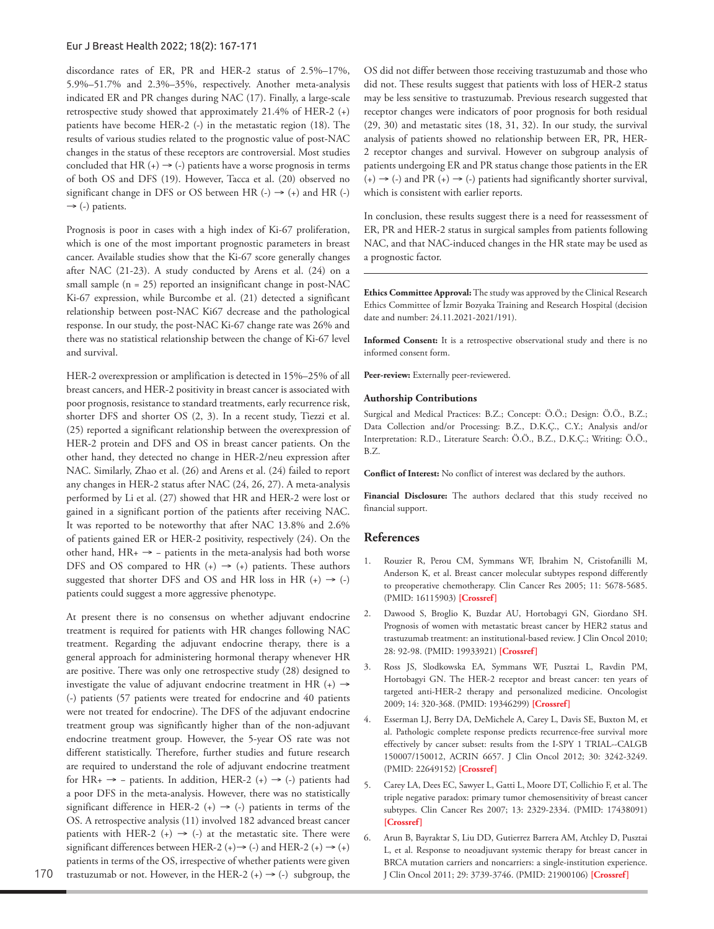## Eur J Breast Health 2022; 18(2): 167-171

discordance rates of ER, PR and HER-2 status of 2.5%–17%, 5.9%–51.7% and 2.3%–35%, respectively. Another meta-analysis indicated ER and PR changes during NAC (17). Finally, a large-scale retrospective study showed that approximately 21.4% of HER-2 (+) patients have become HER-2 (-) in the metastatic region (18). The results of various studies related to the prognostic value of post-NAC changes in the status of these receptors are controversial. Most studies concluded that HR  $(+) \rightarrow (-)$  patients have a worse prognosis in terms of both OS and DFS (19). However, Tacca et al. (20) observed no significant change in DFS or OS between HR  $(-) \rightarrow (+)$  and HR  $(-)$  $\rightarrow$  (-) patients.

Prognosis is poor in cases with a high index of Ki-67 proliferation, which is one of the most important prognostic parameters in breast cancer. Available studies show that the Ki-67 score generally changes after NAC (21-23). A study conducted by Arens et al. (24) on a small sample (n = 25) reported an insignificant change in post-NAC Ki-67 expression, while Burcombe et al. (21) detected a significant relationship between post-NAC Ki67 decrease and the pathological response. In our study, the post-NAC Ki-67 change rate was 26% and there was no statistical relationship between the change of Ki-67 level and survival.

HER-2 overexpression or amplification is detected in 15%–25% of all breast cancers, and HER-2 positivity in breast cancer is associated with poor prognosis, resistance to standard treatments, early recurrence risk, shorter DFS and shorter OS (2, 3). In a recent study, Tiezzi et al. (25) reported a significant relationship between the overexpression of HER-2 protein and DFS and OS in breast cancer patients. On the other hand, they detected no change in HER-2/neu expression after NAC. Similarly, Zhao et al. (26) and Arens et al. (24) failed to report any changes in HER-2 status after NAC (24, 26, 27). A meta-analysis performed by Li et al. (27) showed that HR and HER-2 were lost or gained in a significant portion of the patients after receiving NAC. It was reported to be noteworthy that after NAC 13.8% and 2.6% of patients gained ER or HER-2 positivity, respectively (24). On the other hand, HR+ → − patients in the meta-analysis had both worse DFS and OS compared to HR  $(+) \rightarrow (+)$  patients. These authors suggested that shorter DFS and OS and HR loss in HR  $(+) \rightarrow (-)$ patients could suggest a more aggressive phenotype.

At present there is no consensus on whether adjuvant endocrine treatment is required for patients with HR changes following NAC treatment. Regarding the adjuvant endocrine therapy, there is a general approach for administering hormonal therapy whenever HR are positive. There was only one retrospective study (28) designed to investigate the value of adjuvant endocrine treatment in HR  $(+) \rightarrow$ (-) patients (57 patients were treated for endocrine and 40 patients were not treated for endocrine). The DFS of the adjuvant endocrine treatment group was significantly higher than of the non-adjuvant endocrine treatment group. However, the 5-year OS rate was not different statistically. Therefore, further studies and future research are required to understand the role of adjuvant endocrine treatment for HR+  $\rightarrow$  – patients. In addition, HER-2 (+)  $\rightarrow$  (-) patients had a poor DFS in the meta-analysis. However, there was no statistically significant difference in HER-2 (+)  $\rightarrow$  (-) patients in terms of the OS. A retrospective analysis (11) involved 182 advanced breast cancer patients with HER-2 (+)  $\rightarrow$  (-) at the metastatic site. There were significant differences between HER-2 (+) $\rightarrow$  (-) and HER-2 (+) $\rightarrow$  (+) patients in terms of the OS, irrespective of whether patients were given trastuzumab or not. However, in the HER-2  $(+) \rightarrow (-)$  subgroup, the OS did not differ between those receiving trastuzumab and those who did not. These results suggest that patients with loss of HER-2 status may be less sensitive to trastuzumab. Previous research suggested that receptor changes were indicators of poor prognosis for both residual (29, 30) and metastatic sites (18, 31, 32). In our study, the survival analysis of patients showed no relationship between ER, PR, HER-2 receptor changes and survival. However on subgroup analysis of patients undergoing ER and PR status change those patients in the ER  $(+) \rightarrow (-)$  and PR  $(+) \rightarrow (-)$  patients had significantly shorter survival, which is consistent with earlier reports.

In conclusion, these results suggest there is a need for reassessment of ER, PR and HER-2 status in surgical samples from patients following NAC, and that NAC-induced changes in the HR state may be used as a prognostic factor.

**Ethics Committee Approval:** The study was approved by the Clinical Research Ethics Committee of İzmir Bozyaka Training and Research Hospital (decision date and number: 24.11.2021-2021/191).

**Informed Consent:** It is a retrospective observational study and there is no informed consent form.

Peer-review: Externally peer-reviewered.

#### **Authorship Contributions**

Surgical and Medical Practices: B.Z.; Concept: Ö.Ö.; Design: Ö.Ö., B.Z.; Data Collection and/or Processing: B.Z., D.K.Ç., C.Y.; Analysis and/or Interpretation: R.D., Literature Search: Ö.Ö., B.Z., D.K.Ç.; Writing: Ö.Ö., B.Z.

**Conflict of Interest:** No conflict of interest was declared by the authors.

**Financial Disclosure:** The authors declared that this study received no financial support.

## **References**

- 1. Rouzier R, Perou CM, Symmans WF, Ibrahim N, Cristofanilli M, Anderson K, et al. Breast cancer molecular subtypes respond differently to preoperative chemotherapy. Clin Cancer Res 2005; 11: 5678-5685. (PMID: 16115903) **[\[Crossref\]](https://doi.org/10.1158/1078-0432.CCR-04-2421)**
- 2. Dawood S, Broglio K, Buzdar AU, Hortobagyi GN, Giordano SH. Prognosis of women with metastatic breast cancer by HER2 status and trastuzumab treatment: an institutional-based review. J Clin Oncol 2010; 28: 92-98. (PMID: 19933921) **[[Crossref\]](https://doi.org/10.1200/JCO.2008.19.9844)**
- 3. Ross JS, Slodkowska EA, Symmans WF, Pusztai L, Ravdin PM, Hortobagyi GN. The HER-2 receptor and breast cancer: ten years of targeted anti-HER-2 therapy and personalized medicine. Oncologist 2009; 14: 320-368. (PMID: 19346299) **[[Crossref](https://doi.org/10.1634/theoncologist.2008-0230)]**
- 4. Esserman LJ, Berry DA, DeMichele A, Carey L, Davis SE, Buxton M, et al. Pathologic complete response predicts recurrence-free survival more effectively by cancer subset: results from the I-SPY 1 TRIAL--CALGB 150007/150012, ACRIN 6657. J Clin Oncol 2012; 30: 3242-3249. (PMID: 22649152) **[\[Crossref\]](https://doi.org/10.1200/JCO.2011.39.2779)**
- 5. Carey LA, Dees EC, Sawyer L, Gatti L, Moore DT, Collichio F, et al. The triple negative paradox: primary tumor chemosensitivity of breast cancer subtypes. Clin Cancer Res 2007; 13: 2329-2334. (PMID: 17438091) **[\[Crossref\]](https://doi.org/10.1158/1078-0432.CCR-06-1109)**
- 6. Arun B, Bayraktar S, Liu DD, Gutierrez Barrera AM, Atchley D, Pusztai L, et al. Response to neoadjuvant systemic therapy for breast cancer in BRCA mutation carriers and noncarriers: a single-institution experience. J Clin Oncol 2011; 29: 3739-3746. (PMID: 21900106) **[\[Crossref\]](https://doi.org/10.1200/JCO.2011.35.2682)**